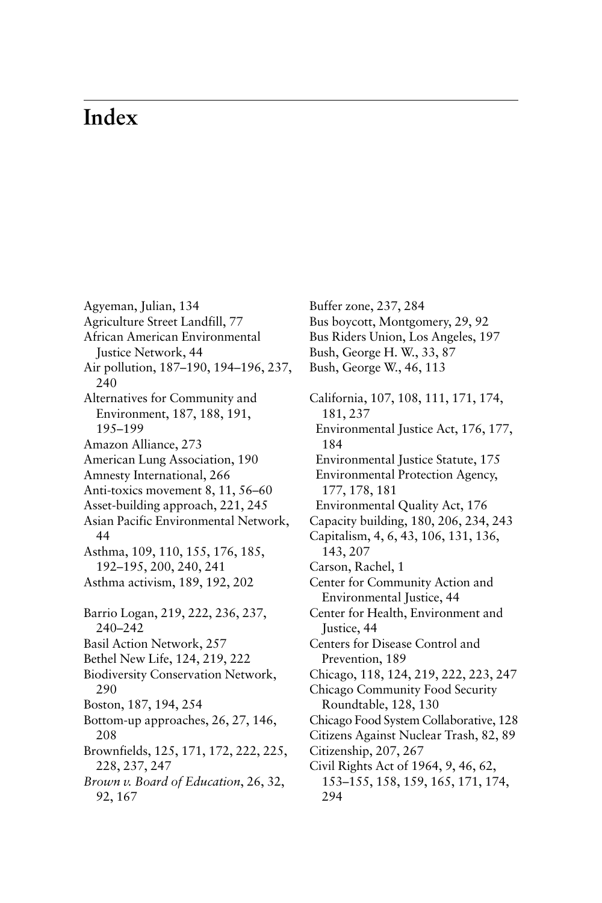## **Index**

Agyeman, Julian, 134 Agriculture Street Landfill, 77 African American Environmental Justice Network, 44 Air pollution, 187–190, 194–196, 237, 240 Alternatives for Community and Environment, 187, 188, 191, 195–199 Amazon Alliance, 273 American Lung Association, 190 Amnesty International, 266 Anti-toxics movement 8, 11, 56–60 Asset-building approach, 221, 245 Asian Pacific Environmental Network, 44 Asthma, 109, 110, 155, 176, 185, 192–195, 200, 240, 241 Asthma activism, 189, 192, 202 Barrio Logan, 219, 222, 236, 237, 240–242 Basil Action Network, 257 Bethel New Life, 124, 219, 222 Biodiversity Conservation Network, 290 Boston, 187, 194, 254 Bottom-up approaches, 26, 27, 146, 208 Brownfields, 125, 171, 172, 222, 225, 228, 237, 247 *Brown v. Board of Education*, 26, 32, 92, 167

Buffer zone, 237, 284 Bus boycott, Montgomery, 29, 92 Bus Riders Union, Los Angeles, 197 Bush, George H. W., 33, 87 Bush, George W., 46, 113 California, 107, 108, 111, 171, 174, 181, 237 Environmental Justice Act, 176, 177, 184 Environmental Justice Statute, 175 Environmental Protection Agency, 177, 178, 181 Environmental Quality Act, 176 Capacity building, 180, 206, 234, 243 Capitalism, 4, 6, 43, 106, 131, 136, 143, 207 Carson, Rachel, 1 Center for Community Action and Environmental Justice, 44 Center for Health, Environment and Justice, 44 Centers for Disease Control and Prevention, 189 Chicago, 118, 124, 219, 222, 223, 247 Chicago Community Food Security Roundtable, 128, 130 [Chicago Food System Collaborative, 128](#page--1-0) Citizens Against Nuclear Trash, 82, 89 Citizenship, 207, 267 Civil Rights Act of 1964, 9, 46, 62, 153–155, 158, 159, 165, 171, 174, 294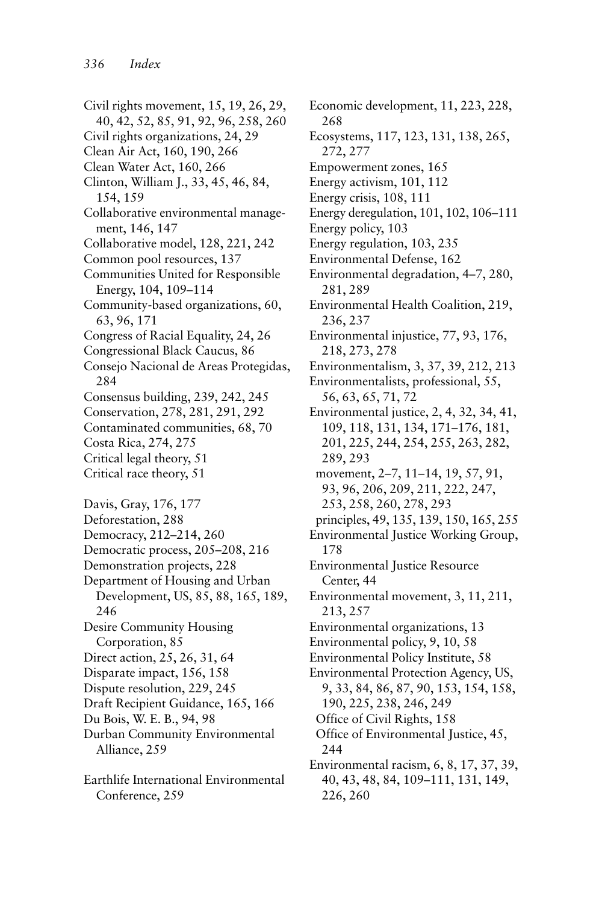Civil rights movement, 15, 19, 26, 29, 40, 42, 52, 85, 91, 92, 96, 258, 260 Civil rights organizations, 24, 29 Clean Air Act, 160, 190, 266 Clean Water Act, 160, 266 Clinton, William J., 33, 45, 46, 84, 154, 159 Collaborative environmental management, 146, 147 Collaborative model, 128, 221, 242 Common pool resources, 137 Communities United for Responsible Energy, 104, 109–114 Community-based organizations, 60, 63, 96, 171 Congress of Racial Equality, 24, 26 Congressional Black Caucus, 86 Consejo Nacional de Areas Protegidas, 284 Consensus building, 239, 242, 245 Conservation, 278, 281, 291, 292 Contaminated communities, 68, 70 Costa Rica, 274, 275 Critical legal theory, 51 Critical race theory, 51 Davis, Gray, 176, 177 Deforestation, 288 Democracy, 212–214, 260 Democratic process, 205–208, 216 Demonstration projects, 228 Department of Housing and Urban Development, US, 85, 88, 165, 189, 246 Desire Community Housing Corporation, 85 Direct action, 25, 26, 31, 64 Disparate impact, 156, 158 Dispute resolution, 229, 245 Draft Recipient Guidance, 165, 166 Du Bois, W. E. B., 94, 98 Durban Community Environmental Alliance, 259 Earthlife International Environmental Conference, 259

Economic development, 11, 223, 228, 268 Ecosystems, 117, 123, 131, 138, 265, 272, 277 Empowerment zones, 165 Energy activism, 101, 112 Energy crisis, 108, 111 Energy deregulation, 101, 102, 106–111 Energy policy, 103 Energy regulation, 103, 235 Environmental Defense, 162 Environmental degradation, 4–7, 280, 281, 289 Environmental Health Coalition, 219, 236, 237 Environmental injustice, 77, 93, 176, 218, 273, 278 Environmentalism, 3, 37, 39, 212, 213 Environmentalists, professional, 55, 56, 63, 65, 71, 72 Environmental justice, 2, 4, 32, 34, 41, 109, 118, 131, 134, 171–176, 181, 201, 225, 244, 254, 255, 263, 282, 289, 293 movement, 2–7, 11–14, 19, 57, 91, 93, 96, 206, 209, 211, 222, 247, 253, 258, 260, 278, 293 principles, 49, 135, 139, 150, 165, 255 Environmental Justice Working Group, 178 Environmental Justice Resource Center, 44 Environmental movement, 3, 11, 211, 213, 257 Environmental organizations, 13 Environmental policy, 9, 10, 58 Environmental Policy Institute, 58 Environmental Protection Agency, US, 9, 33, 84, 86, 87, 90, 153, 154, 158, 190, 225, 238, 246, 249 Office of Civil Rights, 158 Office of Environmental Justice, 45, 244 Environmental racism, 6, 8, 17, 37, 39, 40, 43, 48, 84, 109–111, 131, 149, 226, 260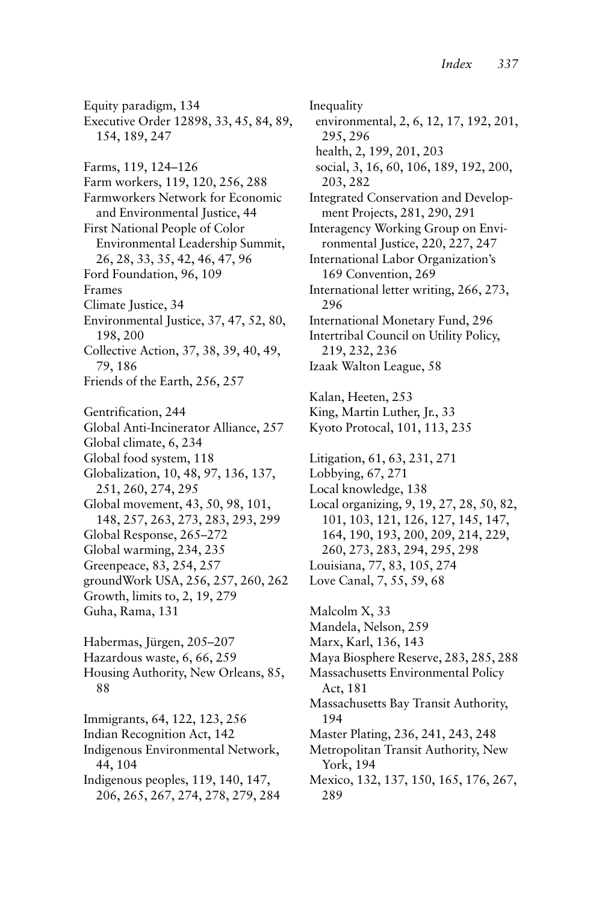Equity paradigm, 134 Executive Order 12898, 33, 45, 84, 89, 154, 189, 247 Farms, 119, 124–126 Farm workers, 119, 120, 256, 288 Farmworkers Network for Economic and Environmental Justice, 44 First National People of Color Environmental Leadership Summit, 26, 28, 33, 35, 42, 46, 47, 96 Ford Foundation, 96, 109 Frames Climate Justice, 34 Environmental Justice, 37, 47, 52, 80, 198, 200 Collective Action, 37, 38, 39, 40, 49, 79, 186 Friends of the Earth, 256, 257 Gentrification, 244 Global Anti-Incinerator Alliance, 257 Global climate, 6, 234 Global food system, 118 Globalization, 10, 48, 97, 136, 137, 251, 260, 274, 295 Global movement, 43, 50, 98, 101, 148, 257, 263, 273, 283, 293, 299 Global Response, 265–272 Global warming, 234, 235 Greenpeace, 83, 254, 257 groundWork USA, 256, 257, 260, 262 Growth, limits to, 2, 19, 279 Guha, Rama, 131 Habermas, Jürgen, 205–207 Hazardous waste, 6, 66, 259 Housing Authority, New Orleans, 85, 88 Immigrants, 64, 122, 123, 256 Indian Recognition Act, 142 Indigenous Environmental Network, 44, 104 Indigenous peoples, 119, 140, 147, 206, 265, 267, 274, 278, 279, 284

Inequality environmental, 2, 6, 12, 17, 192, 201, 295, 296 health, 2, 199, 201, 203 social, 3, 16, 60, 106, 189, 192, 200, 203, 282 Integrated Conservation and Development Projects, 281, 290, 291 Interagency Working Group on Environmental Justice, 220, 227, 247 International Labor Organization's 169 Convention, 269 International letter writing, 266, 273, 296 International Monetary Fund, 296 Intertribal Council on Utility Policy, 219, 232, 236 Izaak Walton League, 58 Kalan, Heeten, 253 King, Martin Luther, Jr., 33 Kyoto Protocal, 101, 113, 235 Litigation, 61, 63, 231, 271 Lobbying, 67, 271 Local knowledge, 138 Local organizing, 9, 19, 27, 28, 50, 82, 101, 103, 121, 126, 127, 145, 147, 164, 190, 193, 200, 209, 214, 229, 260, 273, 283, 294, 295, 298 Louisiana, 77, 83, 105, 274 Love Canal, 7, 55, 59, 68 Malcolm X, 33 Mandela, Nelson, 259 Marx, Karl, 136, 143 Maya Biosphere Reserve, 283, 285, 288 Massachusetts Environmental Policy Act, 181 Massachusetts Bay Transit Authority, 194 Master Plating, 236, 241, 243, 248 Metropolitan Transit Authority, New York, 194 Mexico, 132, 137, 150, 165, 176, 267, 289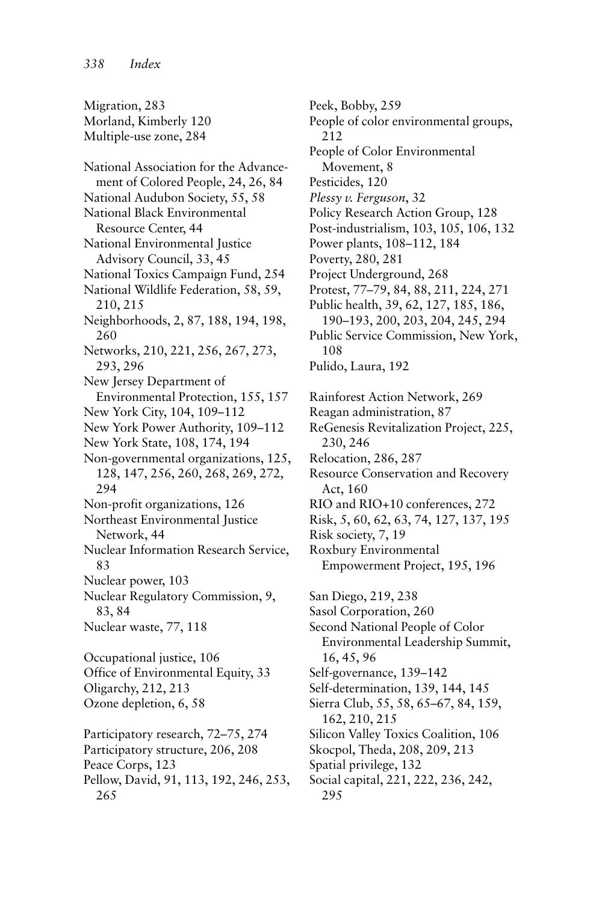Migration, 283 Morland, Kimberly 120 Multiple-use zone, 284 National Association for the Advancement of Colored People, 24, 26, 84 National Audubon Society, 55, 58 National Black Environmental Resource Center, 44 National Environmental Justice Advisory Council, 33, 45 National Toxics Campaign Fund, 254 National Wildlife Federation, 58, 59, 210, 215 Neighborhoods, 2, 87, 188, 194, 198, 260 Networks, 210, 221, 256, 267, 273, 293, 296 New Jersey Department of Environmental Protection, 155, 157 New York City, 104, 109–112 New York Power Authority, 109–112 New York State, 108, 174, 194 Non-governmental organizations, 125, 128, 147, 256, 260, 268, 269, 272, 294 Non-profit organizations, 126 Northeast Environmental Justice Network, 44 Nuclear Information Research Service, 83 Nuclear power, 103 Nuclear Regulatory Commission, 9, 83, 84 Nuclear waste, 77, 118 Occupational justice, 106 Office of Environmental Equity, 33 Oligarchy, 212, 213 Ozone depletion, 6, 58 Participatory research, 72–75, 274 Participatory structure, 206, 208 Peace Corps, 123 Pellow, David, 91, 113, 192, 246, 253,

265

Peek, Bobby, 259 People of color environmental groups, 212 People of Color Environmental Movement, 8 Pesticides, 120 *Plessy v. Ferguson*, 32 Policy Research Action Group, 128 Post-industrialism, 103, 105, 106, 132 Power plants, 108–112, 184 Poverty, 280, 281 Project Underground, 268 Protest, 77–79, 84, 88, 211, 224, 271 Public health, 39, 62, 127, 185, 186, 190–193, 200, 203, 204, 245, 294 Public Service Commission, New York, 108 Pulido, Laura, 192 Rainforest Action Network, 269 Reagan administration, 87 ReGenesis Revitalization Project, 225, 230, 246 Relocation, 286, 287 Resource Conservation and Recovery Act, 160 RIO and RIO+10 conferences, 272 Risk, 5, 60, 62, 63, 74, 127, 137, 195 Risk society, 7, 19 Roxbury Environmental Empowerment Project, 195, 196 San Diego, 219, 238 Sasol Corporation, 260 Second National People of Color Environmental Leadership Summit, 16, 45, 96 Self-governance, 139–142 Self-determination, 139, 144, 145 Sierra Club, 55, 58, 65–67, 84, 159, 162, 210, 215 Silicon Valley Toxics Coalition, 106 Skocpol, Theda, 208, 209, 213 Spatial privilege, 132 Social capital, 221, 222, 236, 242, 295